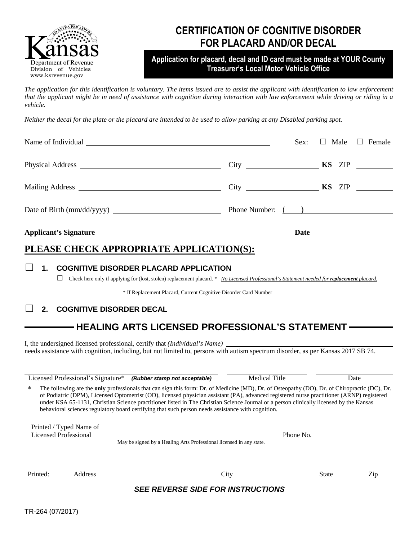

## **CERTIFICATION OF COGNITIVE DISORDER FOR PLACARD AND/OR DECAL**

### **Application for placard, decal and ID card must be made at YOUR County Treasurer's Local Motor Vehicle Office**

*The application for this identification is voluntary. The items issued are to assist the applicant with identification to law enforcement that the applicant might be in need of assistance with cognition during interaction with law enforcement while driving or riding in a vehicle.* 

*Neither the decal for the plate or the placard are intended to be used to allow parking at any Disabled parking spot.* 

|                                            | $\Box$ Male $\Box$ Female<br>Sex: |
|--------------------------------------------|-----------------------------------|
|                                            |                                   |
|                                            |                                   |
|                                            |                                   |
|                                            |                                   |
| DI EASE CHECK ADDDODDIATE ADDI ICATION(S). |                                   |

### <u>EASE CHECK AFFKOFKIATE AFFLICA</u>

#### ☐ **1. COGNITIVE DISORDER PLACARD APPLICATION**

□ Check here only if applying for (lost, stolen) replacement placard. \* *No Licensed Professional's Statement needed for <i>replacement placard.* 

\* If Replacement Placard, Current Cognitive Disorder Card Number

#### ☐ **2. COGNITIVE DISORDER DECAL**

## **HEALING ARTS LICENSED PROFESSIONAL'S STATEMENT**

I, the undersigned licensed professional, certify that *(Individual's Name)* needs assistance with cognition, including, but not limited to, persons with autism spectrum disorder, as per Kansas 2017 SB 74.

Licensed Professional's Signature\* *(Rubber stamp not acceptable)* Medical Title Date

The following are the **only** professionals that can sign this form: Dr. of Medicine (MD), Dr. of Osteopathy (DO), Dr. of Chiropractic (DC), Dr. of Podiatric (DPM), Licensed Optometrist (OD), licensed physician assistant (PA), advanced registered nurse practitioner (ARNP) registered under KSA 65-1131, Christian Science practitioner listed in The Christian Science Journal or a person clinically licensed by the Kansas behavioral sciences regulatory board certifying that such person needs assistance with cognition.

Printed / Typed Name of Licensed Professional

May be signed by a Healing Arts Professional licensed in any state.

Printed: Address City

State Zip

Phone No.

*SEE REVERSE SIDE FOR INSTRUCTIONS*